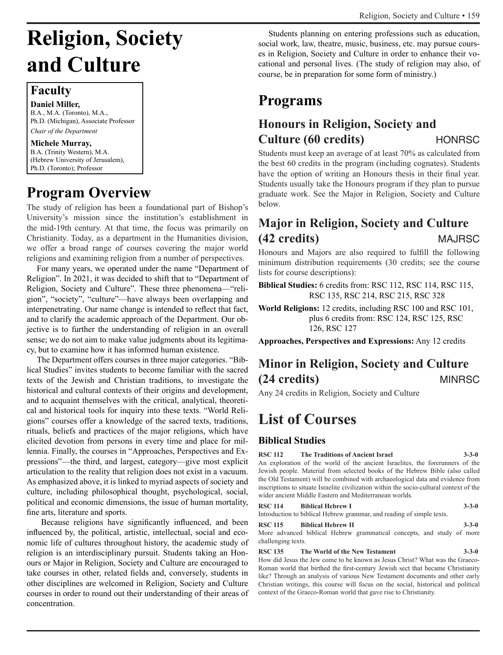# **Religion, Society and Culture**

### **Faculty**

**Daniel Miller,** B.A., M.A. (Toronto), M.A., Ph.D. (Michigan), Associate Professor *Chair of the Department*

### **Michele Murray,**

B.A. (Trinity Western), M.A. (Hebrew University of Jerusalem), Ph.D. (Toronto); Professor

## **Program Overview**

The study of religion has been a foundational part of Bishop's University's mission since the institution's establishment in the mid-19th century. At that time, the focus was primarily on Christianity. Today, as a department in the Humanities division, we offer a broad range of courses covering the major world religions and examining religion from a number of perspectives.

For many years, we operated under the name "Department of Religion". In 2021, it was decided to shift that to "Department of Religion, Society and Culture". These three phenomena—"religion", "society", "culture"—have always been overlapping and interpenetrating. Our name change is intended to reflect that fact, and to clarify the academic approach of the Department. Our objective is to further the understanding of religion in an overall sense; we do not aim to make value judgments about its legitimacy, but to examine how it has informed human existence.

The Department offers courses in three major categories. "Biblical Studies" invites students to become familiar with the sacred texts of the Jewish and Christian traditions, to investigate the historical and cultural contexts of their origins and development, and to acquaint themselves with the critical, analytical, theoretical and historical tools for inquiry into these texts. "World Religions" courses offer a knowledge of the sacred texts, traditions, rituals, beliefs and practices of the major religions, which have elicited devotion from persons in every time and place for millennia. Finally, the courses in "Approaches, Perspectives and Expressions"—the third, and largest, category—give most explicit articulation to the reality that religion does not exist in a vacuum. As emphasized above, it is linked to myriad aspects of society and culture, including philosophical thought, psychological, social, political and economic dimensions, the issue of human mortality, fine arts, literature and sports.

 Because religions have significantly influenced, and been influenced by, the political, artistic, intellectual, social and economic life of cultures throughout history, the academic study of religion is an interdisciplinary pursuit. Students taking an Honours or Major in Religion, Society and Culture are encouraged to take courses in other, related fields and, conversely, students in other disciplines are welcomed in Religion, Society and Culture courses in order to round out their understanding of their areas of concentration.

Students planning on entering professions such as education, social work, law, theatre, music, business, etc. may pursue courses in Religion, Society and Culture in order to enhance their vocational and personal lives. (The study of religion may also, of course, be in preparation for some form of ministry.)

## **Programs**

## **Honours in Religion, Society and Culture (60 credits)** HONRSC

Students must keep an average of at least 70% as calculated from the best 60 credits in the program (including cognates). Students have the option of writing an Honours thesis in their final year. Students usually take the Honours program if they plan to pursue graduate work. See the Major in Religion, Society and Culture below.

## **Major in Religion, Society and Culture (42 credits)** MAJRSC

Honours and Majors are also required to fulfill the following minimum distribution requirements (30 credits; see the course lists for course descriptions):

**Biblical Studies:** 6 credits from: RSC 112, RSC 114, RSC 115, RSC 135, RSC 214, RSC 215, RSC 328

**World Religions:** 12 credits, including RSC 100 and RSC 101, plus 6 credits from: RSC 124, RSC 125, RSC 126, RSC 127

**Approaches, Perspectives and Expressions:** Any 12 credits

## **Minor in Religion, Society and Culture (24 credits)** MINRSC

Any 24 credits in Religion, Society and Culture

## **List of Courses**

### **Biblical Studies**

**RSC 112 The Traditions of Ancient Israel 3-3-0**

An exploration of the world of the ancient Israelites, the forerunners of the Jewish people. Material from selected books of the Hebrew Bible (also called the Old Testament) will be combined with archaeological data and evidence from inscriptions to situate Israelite civilization within the socio-cultural context of the wider ancient Middle Eastern and Mediterranean worlds.

### **RSC 114 Biblical Hebrew I 3-3-0**

Introduction to biblical Hebrew grammar, and reading of simple texts.

### **RSC 115 Biblical Hebrew II 3-3-0**

More advanced biblical Hebrew grammatical concepts, and study of more challenging texts.

### **RSC 135 The World of the New Testament 3-3-0**

How did Jesus the Jew come to be known as Jesus Christ? What was the Graeco-Roman world that birthed the first-century Jewish sect that became Christianity like? Through an analysis of various New Testament documents and other early Christian writings, this course will focus on the social, historical and political context of the Graeco-Roman world that gave rise to Christianity.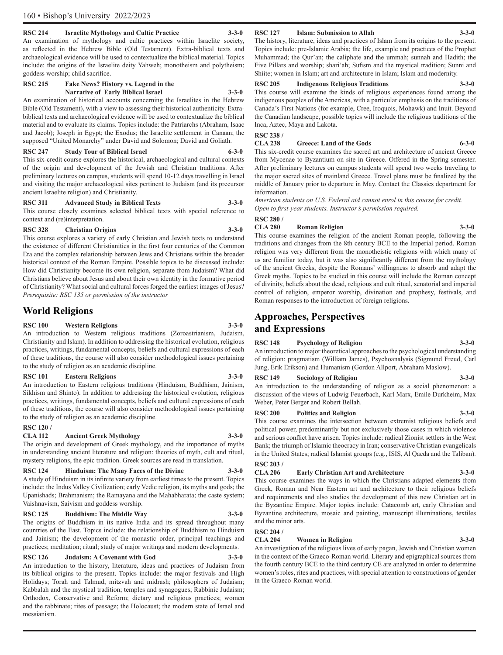### **RSC 214 Israelite Mythology and Cultic Practice 3-3-0**

An examination of mythology and cultic practices within Israelite society, as reflected in the Hebrew Bible (Old Testament). Extra-biblical texts and archaeological evidence will be used to contextualize the biblical material. Topics include: the origins of the Israelite deity Yahweh; monotheism and polytheism; goddess worship; child sacrifice.

### **RSC 215 Fake News? History vs. Legend in the Narrative of Early Biblical Israel 3-3-0**

An examination of historical accounts concerning the Israelites in the Hebrew Bible (Old Testament), with a view to assessing their historical authenticity. Extrabiblical texts and archaeological evidence will be used to contextualize the biblical material and to evaluate its claims. Topics include: the Patriarchs (Abraham, Isaac and Jacob); Joseph in Egypt; the Exodus; the Israelite settlement in Canaan; the supposed "United Monarchy" under David and Solomon; David and Goliath.

### **RSC 247 Study Tour of Biblical Israel 6-3-0**

This six-credit course explores the historical, archaeological and cultural contexts of the origin and development of the Jewish and Christian traditions. After preliminary lectures on campus, students will spend 10-12 days travelling in Israel and visiting the major archaeological sites pertinent to Judaism (and its precursor ancient Israelite religion) and Christianity.

### **RSC 311 Advanced Study in Biblical Texts 3-3-0**

This course closely examines selected biblical texts with special reference to context and (re)interpretation.

### **RSC 328 Christian Origins 3-3-0**

This course explores a variety of early Christian and Jewish texts to understand the existence of different Christianities in the first four centuries of the Common Era and the complex relationship between Jews and Christians within the broader historical context of the Roman Empire. Possible topics to be discussed include: How did Christianity become its own religion, separate from Judaism? What did Christians believe about Jesus and about their own identity in the formative period of Christianity? What social and cultural forces forged the earliest images of Jesus? *Prerequisite: RSC 135 or permission of the instructor*

### **World Religions**

### **RSC 100 Western Religions 3-3-0**

An introduction to Western religious traditions (Zoroastrianism, Judaism, Christianity and Islam). In addition to addressing the historical evolution, religious practices, writings, fundamental concepts, beliefs and cultural expressions of each of these traditions, the course will also consider methodological issues pertaining to the study of religion as an academic discipline.

### **RSC 101 Eastern Religions 3-3-0**

An introduction to Eastern religious traditions (Hinduism, Buddhism, Jainism, Sikhism and Shinto). In addition to addressing the historical evolution, religious practices, writings, fundamental concepts, beliefs and cultural expressions of each of these traditions, the course will also consider methodological issues pertaining to the study of religion as an academic discipline.

## **RSC 120 /**

### **CLA 112 Ancient Greek Mythology 3-3-0**

The origin and development of Greek mythology, and the importance of myths in understanding ancient literature and religion: theories of myth, cult and ritual, mystery religions, the epic tradition. Greek sources are read in translation.

### **RSC 124 Hinduism: The Many Faces of the Divine 3-3-0**

A study of Hinduism in its infinite variety from earliest times to the present. Topics include: the Indus Valley Civilization; early Vedic religion, its myths and gods; the Upanishads; Brahmanism; the Ramayana and the Mahabharata; the caste system; Vaishnavism, Saivism and goddess worship.

### **RSC 125 Buddhism: The Middle Way 3-3-0**

The origins of Buddhism in its native India and its spread throughout many countries of the East. Topics include: the relationship of Buddhism to Hinduism and Jainism; the development of the monastic order, principal teachings and practices; meditation; ritual; study of major writings and modern developments.

### **RSC 126 Judaism: A Covenant with God 3-3-0**

An introduction to the history, literature, ideas and practices of Judaism from its biblical origins to the present. Topics include: the major festivals and High Holidays; Torah and Talmud, mitzvah and midrash; philosophers of Judaism; Kabbalah and the mystical tradition; temples and synagogues; Rabbinic Judaism; Orthodox, Conservative and Reform; dietary and religious practices; women and the rabbinate; rites of passage; the Holocaust; the modern state of Israel and messianism.

### **RSC 127 Islam: Submission to Allah 3-3-0**

The history, literature, ideas and practices of Islam from its origins to the present. Topics include: pre-Islamic Arabia; the life, example and practices of the Prophet Muhammad; the Qur'an; the caliphate and the ummah; sunnah and Hadith; the Five Pillars and worship; shari'ah; Sufism and the mystical tradition; Sunni and Shiite; women in Islam; art and architecture in Islam; Islam and modernity.

### **RSC 205 Indigenous Religious Traditions 3-3-0**

This course will examine the kinds of religious experiences found among the indigenous peoples of the Americas, with a particular emphasis on the traditions of Canada's First Nations (for example, Cree, Iroquois, Mohawk) and Inuit. Beyond the Canadian landscape, possible topics will include the religious traditions of the Inca, Aztec, Maya and Lakota.

### **RSC 238 /**

**CLA 238 Greece: Land of the Gods 6-3-0**

This six-credit course examines the sacred art and architecture of ancient Greece from Mycenae to Byzantium on site in Greece. Offered in the Spring semester. After preliminary lectures on campus students will spend two weeks traveling to the major sacred sites of mainland Greece. Travel plans must be finalized by the middle of January prior to departure in May. Contact the Classics department for information.

*American students on U.S. Federal aid cannot enrol in this course for credit. Open to first-year students. Instructor's permission required.*

### **RSC 280 /**

### **CLA 280 Roman Religion 3-3-0**

This course examines the religion of the ancient Roman people, following the traditions and changes from the 8th century BCE to the Imperial period. Roman religion was very different from the monotheistic religions with which many of us are familiar today, but it was also significantly different from the mythology of the ancient Greeks, despite the Romans' willingness to absorb and adapt the Greek myths. Topics to be studied in this course will include the Roman concept of divinity, beliefs about the dead, religious and cult ritual, senatorial and imperial control of religion, emperor worship, divination and prophesy, festivals, and Roman responses to the introduction of foreign religions.

### **Approaches, Perspectives and Expressions**

### **RSC 148 Psychology of Religion 3-3-0**

An introduction to major theoretical approaches to the psychological understanding of religion: pragmatism (William James), Psychoanalysis (Sigmund Freud, Carl Jung, Erik Erikson) and Humanism (Gordon Allport, Abraham Maslow).

### **RSC 149 Sociology of Religion 3-3-0**

An introduction to the understanding of religion as a social phenomenon: a discussion of the views of Ludwig Feuerbach, Karl Marx, Emile Durkheim, Max Weber, Peter Berger and Robert Bellah.

### **RSC 200 Politics and Religion 3-3-0**

This course examines the intersection between extremist religious beliefs and political power, predominantly but not exclusively those cases in which violence and serious conflict have arisen. Topics include: radical Zionist settlers in the West Bank; the triumph of Islamic theocracy in Iran; conservative Christian evangelicals in the United States; radical Islamist groups (e.g., ISIS, Al Qaeda and the Taliban). **RSC 203 /** 

### **CLA 206 Early Christian Art and Architecture 3-3-0**

This course examines the ways in which the Christians adapted elements from Greek, Roman and Near Eastern art and architecture to their religious beliefs and requirements and also studies the development of this new Christian art in the Byzantine Empire. Major topics include: Catacomb art, early Christian and Byzantine architecture, mosaic and painting, manuscript illuminations, textiles and the minor arts.

### **RSC 204 /**

### **COMPRETE IN 2018 Women in Religion** 3-3-0

An investigation of the religious lives of early pagan, Jewish and Christian women in the context of the Graeco-Roman world. Literary and epigraphical sources from the fourth century BCE to the third century CE are analyzed in order to determine women's roles, rites and practices, with special attention to constructions of gender in the Graeco-Roman world.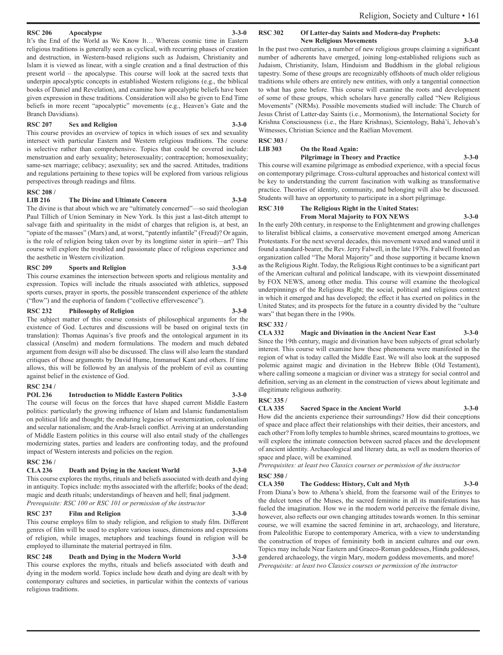### **RSC 206 Apocalypse 3-3-0**

It's the End of the World as We Know It… Whereas cosmic time in Eastern religious traditions is generally seen as cyclical, with recurring phases of creation and destruction, in Western-based religions such as Judaism, Christianity and Islam it is viewed as linear, with a single creation and a final destruction of this present world – the apocalypse. This course will look at the sacred texts that underpin apocalyptic concepts in established Western religions (e.g., the biblical books of Daniel and Revelation), and examine how apocalyptic beliefs have been given expression in these traditions. Consideration will also be given to End Time beliefs in more recent "apocalyptic" movements (e.g., Heaven's Gate and the Branch Davidians).

### **RSC 207 Sex and Religion 3-3-0**

This course provides an overview of topics in which issues of sex and sexuality intersect with particular Eastern and Western religious traditions. The course is selective rather than comprehensive. Topics that could be covered include: menstruation and early sexuality; heterosexuality; contraception; homosexuality; same-sex marriage; celibacy; asexuality; sex and the sacred. Attitudes, traditions and regulations pertaining to these topics will be explored from various religious perspectives through readings and films.

### **RSC 208 /**

### **LIB 216 The Divine and Ultimate Concern 3-3-0**

The divine is that about which we are "ultimately concerned"—so said theologian Paul Tillich of Union Seminary in New York. Is this just a last-ditch attempt to salvage faith and spirituality in the midst of charges that religion is, at best, an "opiate of the masses" (Marx) and, at worst, "patently infantile" (Freud)? Or again, is the role of religion being taken over by its longtime sister in spirit—art? This course will explore the troubled and passionate place of religious experience and the aesthetic in Western civilization.

### **RSC 209 Sports and Religion 3-3-0**

This course examines the intersection between sports and religious mentality and expression. Topics will include the rituals associated with athletics, supposed sports curses, prayer in sports, the possible transcendent experience of the athlete ("flow") and the euphoria of fandom ("collective effervescence").

### **RSC 232 Philosophy of Religion 3-3-0**

The subject matter of this course consists of philosophical arguments for the existence of God. Lectures and discussions will be based on original texts (in translation): Thomas Aquinas's five proofs and the ontological argument in its classical (Anselm) and modern formulations. The modern and much debated argument from design will also be discussed. The class will also learn the standard critiques of those arguments by David Hume, Immanuel Kant and others. If time allows, this will be followed by an analysis of the problem of evil as counting against belief in the existence of God.

### **RSC 234 /**

### **POL 236 Introduction to Middle Eastern Politics 3-3-0**

The course will focus on the forces that have shaped current Middle Eastern politics: particularly the growing influence of Islam and Islamic fundamentalism on political life and thought; the enduring legacies of westernization, colonialism and secular nationalism; and the Arab-Israeli conflict. Arriving at an understanding of Middle Eastern politics in this course will also entail study of the challenges modernizing states, parties and leaders are confronting today, and the profound impact of Western interests and policies on the region.

### **RSC 236 /**

**CLA 236 Death and Dying in the Ancient World 3-3-0** This course explores the myths, rituals and beliefs associated with death and dying in antiquity. Topics include: myths associated with the afterlife; books of the dead; magic and death rituals; understandings of heaven and hell; final judgment. *Prerequisite: RSC 100 or RSC 101 or permission of the instructor*

### **RSC 237 Film and Religion 3-3-0**

This course employs film to study religion, and religion to study film. Different genres of film will be used to explore various issues, dimensions and expressions of religion, while images, metaphors and teachings found in religion will be employed to illuminate the material portrayed in film.

### **RSC 248 Death and Dying in the Modern World 3-3-0**

This course explores the myths, rituals and beliefs associated with death and dying in the modern world. Topics include how death and dying are dealt with by contemporary cultures and societies, in particular within the contexts of various religious traditions.

### **RSC 302 Of Latter-day Saints and Modern-day Prophets:**

**New Religious Movements 3-3-0**

In the past two centuries, a number of new religious groups claiming a significant number of adherents have emerged, joining long-established religions such as Judaism, Christianity, Islam, Hinduism and Buddhism in the global religious tapestry. Some of these groups are recognizably offshoots of much older religious traditions while others are entirely new entities, with only a tangential connection to what has gone before. This course will examine the roots and development of some of these groups, which scholars have generally called "New Religious Movements" (NRMs). Possible movements studied will include: The Church of Jesus Christ of Latter-day Saints (i.e., Mormonism), the International Society for Krishna Consciousness (i.e., the Hare Krishnas), Scientology, Bahá'í, Jehovah's Witnesses, Christian Science and the Raëlian Movement.

**RSC 303 /**

### **On the Road Again: Pilgrimage in Theory and Practice 3-3-0**

This course will examine pilgrimage as embodied experience, with a special focus on contemporary pilgrimage. Cross-cultural approaches and historical context will be key to understanding the current fascination with walking as transformative practice. Theories of identity, community, and belonging will also be discussed. Students will have an opportunity to participate in a short pilgrimage.

### **RSC 310 The Religious Right in the United States: From Moral Majority to FOX NEWS 3-3-0**

In the early 20th century, in response to the Enlightenment and growing challenges to literalist biblical claims, a conservative movement emerged among American Protestants. For the next several decades, this movement waxed and waned until it found a standard-bearer, the Rev. Jerry Falwell, in the late 1970s. Falwell fronted an organization called "The Moral Majority" and those supporting it became known as the Religious Right. Today, the Religious Right continues to be a significant part of the American cultural and political landscape, with its viewpoint disseminated by FOX NEWS, among other media. This course will examine the theological underpinnings of the Religious Right; the social, political and religious context in which it emerged and has developed; the effect it has exerted on politics in the United States; and its prospects for the future in a country divided by the "culture wars" that began there in the 1990s.

### **RSC 332 /**

### **CLA 332 Magic and Divination in the Ancient Near East 3-3-0**

Since the 19th century, magic and divination have been subjects of great scholarly interest. This course will examine how these phenomena were manifested in the region of what is today called the Middle East. We will also look at the supposed polemic against magic and divination in the Hebrew Bible (Old Testament), where calling someone a magician or diviner was a strategy for social control and definition, serving as an element in the construction of views about legitimate and illegitimate religious authority.

### **RSC 335 /**

### **CLA 335 Sacred Space in the Ancient World 3-3-0**

How did the ancients experience their surroundings? How did their conceptions of space and place affect their relationships with their deities, their ancestors, and each other? From lofty temples to humble shrines, scared mountains to grottoes, we will explore the intimate connection between sacred places and the development of ancient identity. Archaeological and literary data, as well as modern theories of space and place, will be examined.

*Prerequisites: at least two Classics courses or permission of the instructor*

### **RSC 350 /**

**CLA 350 The Goddess: History, Cult and Myth 3-3-0** From Diana's bow to Athena's shield, from the fearsome wail of the Erinyes to the dulcet tones of the Muses, the sacred feminine in all its manifestations has fueled the imagination. How we in the modern world perceive the female divine, however, also reflects our own changing attitudes towards women. In this seminar course, we will examine the sacred feminine in art, archaeology, and literature, from Paleolithic Europe to contemporary America, with a view to understanding the construction of tropes of femininity both in ancient cultures and our own. Topics may include Near Eastern and Graeco-Roman goddesses, Hindu goddesses, gendered archaeology, the virgin Mary, modern goddess movements, and more! *Prerequisite: at least two Classics courses or permission of the instructor*